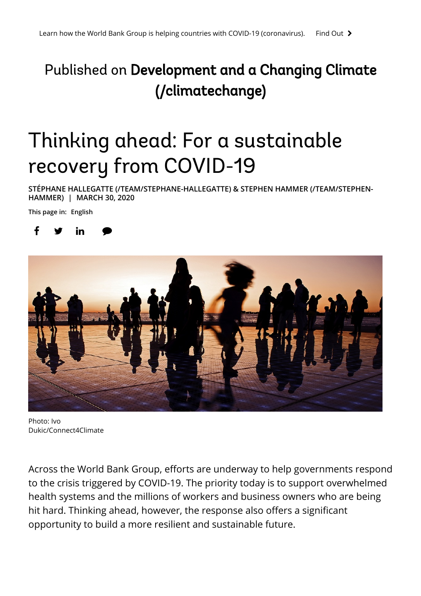## Published on Development and a Changing Climate (/climatechange)

# Thinking ahead: For a sustainable recovery from COVID-19

**[STÉPHANE HALLEGATTE \(/TEAM/STEPHANE-HALLEGATTE\)](https://blogs.worldbank.org/team/stephane-hallegatte) [& STEPHEN HAMMER \(/TEAM/STEPHEN-](https://blogs.worldbank.org/team/stephen-hammer)HAMMER) | MARCH 30, 2020**

**This page in: English**





Photo: Ivo Dukic/Connect4Climate

Across the World Bank Group, efforts are underway to help governments respond to the crisis triggered by COVID-19. The priority today is to support overwhelmed health systems and the millions of workers and business owners who are being hit hard. Thinking ahead, however, the response also offers a significant opportunity to build a more resilient and sustainable future.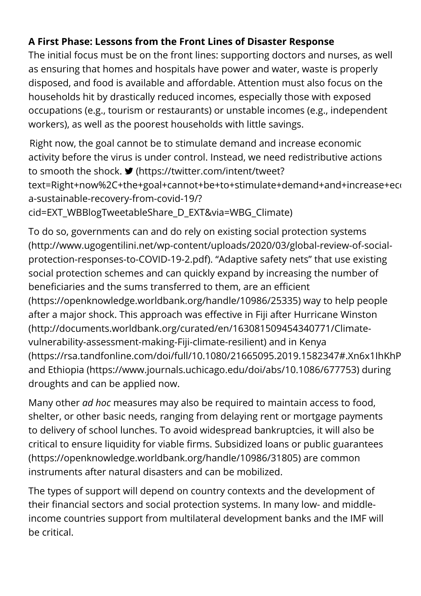### **A First Phase: Lessons from the Front Lines of Disaster Response**

The initial focus must be on the front lines: supporting doctors and nurses, as well as ensuring that homes and hospitals have power and water, waste is properly disposed, and food is available and affordable. Attention must also focus on the households hit by drastically reduced incomes, especially those with exposed occupations (e.g., tourism or restaurants) or unstable incomes (e.g., independent workers), as well as the poorest households with little savings.

Right now, the goal cannot be to stimulate demand and increase economic activity before the virus is under control. Instead, we need redistributive actions to smooth the shock. **I** (https://twitter.com/intent/tweet? [text=Right+now%2C+the+goal+cannot+be+to+stimulate+demand+and+increase+eco](https://twitter.com/intent/tweet?text=Right+now%2C+the+goal+cannot+be+to+stimulate+demand+and+increase+economic+activity+before+the+virus+is+under+control.+Instead%2C+we+need+redistributive+actions+to+smooth+the+shock.&url=https://blogs.worldbank.org/climatechange/for-a-sustainable-recovery-from-covid-19/?cid=EXT_WBBlogTweetableShare_D_EXT&via=WBG_Climate) a-sustainable-recovery-from-covid-19/? cid=EXT\_WBBlogTweetableShare\_D\_EXT&via=WBG\_Climate)

To do so, governments can and do rely on existing social protection systems [\(http://www.ugogentilini.net/wp-content/uploads/2020/03/global-review-of-social](http://www.ugogentilini.net/wp-content/uploads/2020/03/global-review-of-social-protection-responses-to-COVID-19-2.pdf)protection-responses-to-COVID-19-2.pdf). "Adaptive safety nets" that use existing social protection schemes and can quickly expand by increasing the number of beneficiaries and the sums transferred to them, are an efficient [\(https://openknowledge.worldbank.org/handle/10986/25335\) w](https://openknowledge.worldbank.org/handle/10986/25335)ay to help people after a major shock. This approach was effective in Fiji after Hurricane Winston (http://documents.worldbank.org/curated/en/163081509454340771/Climatevulnerability-assessment-making-Fiji-climate-resilient) and in Kenya [\(https://rsa.tandfonline.com/doi/full/10.1080/21665095.2019.1582347#.Xn6x1IhKhP](https://rsa.tandfonline.com/doi/full/10.1080/21665095.2019.1582347#.Xn6x1IhKhPY) and [Ethiopia \(https://www.journals.uchicago.edu/doi/abs/10.1086/677753\)](https://www.journals.uchicago.edu/doi/abs/10.1086/677753) during droughts and can be applied now.

Many other *ad hoc* measures may also be required to maintain access to food, shelter, or other basic needs, ranging from delaying rent or mortgage payments to delivery of school lunches. To avoid widespread bankruptcies, it will also be critical to ensure liquidity for viable firms. Subsidized loans or public guarantees (https://openknowledge.worldbank.org/handle/10986/31805) are common instruments after natural disasters and can be mobilized.

The types of support will depend on country contexts and the development of their financial sectors and social protection systems. In many low- and middleincome countries support from multilateral development banks and the IMF will be critical.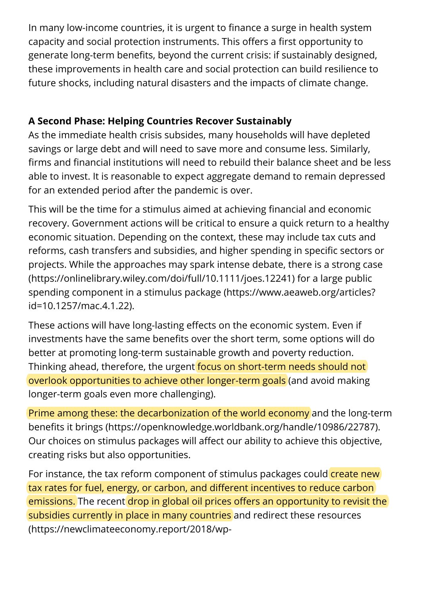In many low-income countries, it is urgent to finance a surge in health system capacity and social protection instruments. This offers a first opportunity to generate long-term benefits, beyond the current crisis: if sustainably designed, these improvements in health care and social protection can build resilience to future shocks, including natural disasters and the impacts of climate change.

#### **A Second Phase: Helping Countries Recover Sustainably**

As the immediate health crisis subsides, many households will have depleted savings or large debt and will need to save more and consume less. Similarly, firms and financial institutions will need to rebuild their balance sheet and be less able to invest. It is reasonable to expect aggregate demand to remain depressed for an extended period after the pandemic is over.

This will be the time for a stimulus aimed at achieving financial and economic recovery. Government actions will be critical to ensure a quick return to a healthy economic situation. Depending on the context, these may include tax cuts and reforms, cash transfers and subsidies, and higher spending in specific sectors or [projects. While the approaches may spark intense debate, there is a strong case](https://onlinelibrary.wiley.com/doi/full/10.1111/joes.12241) (https://onlinelibrary.wiley.com/doi/full/10.1111/joes.12241) for a large public [spending component in a stimulus package \(https://www.aeaweb.org/articles?](https://www.aeaweb.org/articles?id=10.1257/mac.4.1.22) id=10.1257/mac.4.1.22).

These actions will have long-lasting effects on the economic system. Even if investments have the same benefits over the short term, some options will do better at promoting long-term sustainable growth and poverty reduction. Thinking ahead, therefore, the urgent focus on short-term needs should not overlook opportunities to achieve other longer-term goals (and avoid making longer-term goals even more challenging).

[Prime among these: the decarbonization of the world economy and the long-term](https://openknowledge.worldbank.org/handle/10986/22787) benefits it brings (https://openknowledge.worldbank.org/handle/10986/22787). Our choices on stimulus packages will affect our ability to achieve this objective, creating risks but also opportunities.

For instance, the tax reform component of stimulus packages could create new tax rates for fuel, energy, or carbon, and different incentives to reduce carbon emissions. The recent drop in global oil prices offers an opportunity to revisit the [subsidies currently in place in many countries and redirect these resources](https://newclimateeconomy.report/2018/wp-content/uploads/sites/6/2018/09/NCE_2018_FULL-REPORT.pdf) (https://newclimateeconomy.report/2018/wp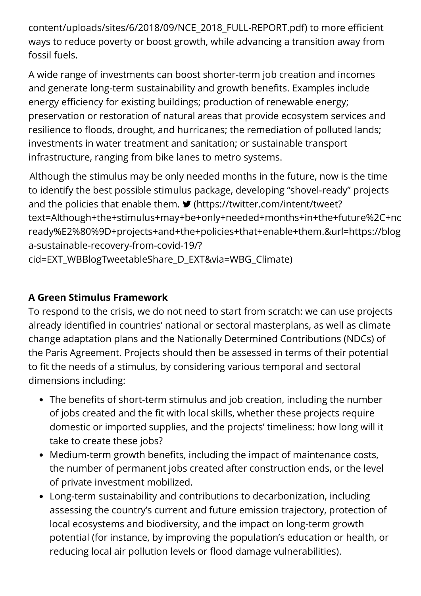[content/uploads/sites/6/2018/09/NCE\\_2018\\_FULL-REPORT.pdf\) to more e](https://newclimateeconomy.report/2018/wp-content/uploads/sites/6/2018/09/NCE_2018_FULL-REPORT.pdf)fficient ways to reduce poverty or boost growth, while advancing a transition away from fossil fuels.

A wide range of investments can boost shorter-term job creation and incomes and generate long-term sustainability and growth benefits. Examples include energy efficiency for existing buildings; production of renewable energy; preservation or restoration of natural areas that provide ecosystem services and resilience to floods, drought, and hurricanes; the remediation of polluted lands; investments in water treatment and sanitation; or sustainable transport infrastructure, ranging from bike lanes to metro systems.

Although the stimulus may be only needed months in the future, now is the time to identify the best possible stimulus package, developing "shovel-ready" projects and the policies that enable them.  $\blacktriangleright$  (https://twitter.com/intent/tweet? [text=Although+the+stimulus+may+be+only+needed+months+in+the+future%2C+no](https://twitter.com/intent/tweet?text=Although+the+stimulus+may+be+only+needed+months+in+the+future%2C+now+is+the+time+to+identify+the+best+possible+stimulus+package%2C+developing+%E2%80%9Cshovel-ready%E2%80%9D+projects+and+the+policies+that+enable+them.&url=https://blogs.worldbank.org/climatechange/for-a-sustainable-recovery-from-covid-19/?cid=EXT_WBBlogTweetableShare_D_EXT&via=WBG_Climate) ready%E2%80%9D+projects+and+the+policies+that+enable+them.&url=https://blog a-sustainable-recovery-from-covid-19/?

cid=EXT\_WBBlogTweetableShare\_D\_EXT&via=WBG\_Climate)

#### **A Green Stimulus Framework**

To respond to the crisis, we do not need to start from scratch: we can use projects already identified in countries' national or sectoral masterplans, as well as climate change adaptation plans and the Nationally Determined Contributions (NDCs) of the Paris Agreement. Projects should then be assessed in terms of their potential to fit the needs of a stimulus, by considering various temporal and sectoral dimensions including:

- $\bullet$  The benefits of short-term stimulus and job creation, including the number of jobs created and the fit with local skills, whether these projects require domestic or imported supplies, and the projects' timeliness: how long will it take to create these jobs?
- Medium-term growth benefits, including the impact of maintenance costs, the number of permanent jobs created after construction ends, or the level of private investment mobilized.
- Long-term sustainability and contributions to decarbonization, including assessing the country's current and future emission trajectory, protection of local ecosystems and biodiversity, and the impact on long-term growth potential (for instance, by improving the population's education or health, or reducing local air pollution levels or flood damage vulnerabilities).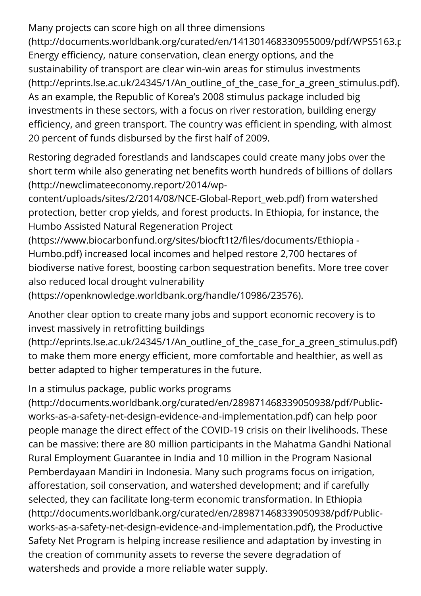Many projects can score high on all three dimensions [\(http://documents.worldbank.org/curated/en/141301468330955009/pdf/WPS5163.p](http://documents.worldbank.org/curated/en/141301468330955009/pdf/WPS5163.pdf) Energy efficiency, nature conservation, clean energy options, and the sustainability of transport are clear win-win areas for stimulus investments (http://eprints.lse.ac.uk/24345/1/An outline of the case for a green stimulus.pdf). As an example, the Republic of Korea's 2008 stimulus package included big investments in these sectors, with a focus on river restoration, building energy efficiency, and green transport. The country was efficient in spending, with almost 20 percent of funds disbursed by the first half of 2009.

Restoring degraded forestlands and landscapes could create many jobs over the short term while also generating net benefits worth hundreds of billions of dollars (http://newclimateeconomy.report/2014/wp-

content/uploads/sites/2/2014/08/NCE-Global-Report\_web.pdf) from watershed protection, better crop yields, and forest products. In Ethiopia, for instance, the Humbo Assisted Natural Regeneration Project

(https://www.biocarbonfund.org/sites/biocft1t2/files/documents/Ethiopia -Humbo.pdf) increased local incomes and helped restore 2,700 hectares of biodiverse native forest, boosting carbon sequestration benefits. More tree cover also reduced local drought vulnerability

[\(https://openknowledge.worldbank.org/handle/10986/23576\).](https://openknowledge.worldbank.org/handle/10986/23576)

Another clear option to create many jobs and support economic recovery is to invest massively in retrofitting buildings

[\(http://eprints.lse.ac.uk/24345/1/An\\_outline\\_of\\_the\\_case\\_for\\_a\\_green\\_stimulus.pdf\)](http://eprints.lse.ac.uk/24345/1/An_outline_of_the_case_for_a_green_stimulus.pdf) to make them more energy efficient, more comfortable and healthier, as well as better adapted to higher temperatures in the future.

In a stimulus package, public works programs

[\(http://documents.worldbank.org/curated/en/289871468339050938/pdf/Public](http://documents.worldbank.org/curated/en/289871468339050938/pdf/Public-works-as-a-safety-net-design-evidence-and-implementation.pdf)works-as-a-safety-net-design-evidence-and-implementation.pdf) can help poor people manage the direct effect of the COVID-19 crisis on their livelihoods. These can be massive: there are 80 million participants in the Mahatma Gandhi National Rural Employment Guarantee in India and 10 million in the Program Nasional Pemberdayaan Mandiri in Indonesia. Many such programs focus on irrigation, afforestation, soil conservation, and watershed development; and if carefully selected, they can facilitate long-term economic transformation. In Ethiopia (http://documents.worldbank.org/curated/en/289871468339050938/pdf/Public[works-as-a-safety-net-design-evidence-and-implementation.pdf\), the Productive](http://documents.worldbank.org/curated/en/289871468339050938/pdf/Public-works-as-a-safety-net-design-evidence-and-implementation.pdf) Safety Net Program is helping increase resilience and adaptation by investing in the creation of community assets to reverse the severe degradation of watersheds and provide a more reliable water supply.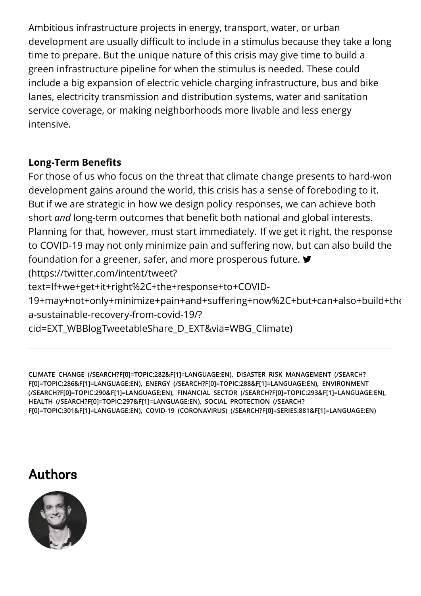Ambitious infrastructure projects in energy, transport, water, or urban development are usually difficult to include in a stimulus because they take a long time to prepare. But the unique nature of this crisis may give time to build a green infrastructure pipeline for when the stimulus is needed. These could include a big expansion of electric vehicle charging infrastructure, bus and bike lanes, electricity transmission and distribution systems, water and sanitation service coverage, or making neighborhoods more livable and less energy intensive.

#### **Long-Term Benets**

For those of us who focus on the threat that climate change presents to hard-won development gains around the world, this crisis has a sense of foreboding to it. But if we are strategic in how we design policy responses, we can achieve both short *and* long-term outcomes that benefit both national and global interests. Planning for that, however, must start immediately. If we get it right, the response to COVID-19 may not only minimize pain and suffering now, but can also build the foundation for a greener, safer, and more prosperous future. (https://twitter.com/intent/tweet? text=If+we+get+it+right%2C+the+response+to+COVID-[19+may+not+only+minimize+pain+and+suering+now%2C+but+can+also+build+the](https://twitter.com/intent/tweet?text=If+we+get+it+right%2C+the+response+to+COVID-19+may+not+only+minimize+pain+and+suffering+now%2C+but+can+also+build+the+foundation+for+a+greener%2C+safer%2C+and+more+prosperous+future.&url=https://blogs.worldbank.org/climatechange/for-a-sustainable-recovery-from-covid-19/?cid=EXT_WBBlogTweetableShare_D_EXT&via=WBG_Climate) a-sustainable-recovery-from-covid-19/? cid=EXT\_WBBlogTweetableShare\_D\_EXT&via=WBG\_Climate)

**[CLIMATE CHANGE \(/SEARCH?F\[0\]=TOPIC:282&F\[1\]=LANGUAGE:EN\)](https://blogs.worldbank.org/search?f[0]=topic:282&f[1]=language:en)[, DISASTER RISK MANAGEMENT \(/SEARCH?](https://blogs.worldbank.org/search?f[0]=topic:286&f[1]=language:en) [F\[0\]=TOPIC:286&F\[1\]=LANGUAGE:EN\),](https://blogs.worldbank.org/search?f[0]=topic:290&f[1]=language:en) [ENERGY \(/SEARCH?F\[0\]=TOPIC:288&F\[1\]=LANGUAGE:EN](https://blogs.worldbank.org/search?f[0]=topic:288&f[1]=language:en)[\), ENVIRONMENT](https://blogs.worldbank.org/search?f[0]=topic:290&f[1]=language:en) (/SEARCH?F[0]=TOPIC:290&F[1]=LANGUAGE:EN), [FINANCIAL SECTOR \(/SEARCH?F\[0\]=TOPIC:293&F\[1\]=LANGUAGE:EN\),](https://blogs.worldbank.org/search?f[0]=topic:293&f[1]=language:en) [HEALTH \(/SEARCH?F\[0\]=TOPIC:297&F\[1\]=LANGUAGE:EN\),](https://blogs.worldbank.org/search?f[0]=topic:297&f[1]=language:en) SOCIAL PROTECTION (/SEARCH? [F\[0\]=TOPIC:301&F\[1\]=LANGUAGE:EN\), COVID-19 \(CORONAVIRUS\) \(/SEARCH?F\[0\]=SERIES:8](https://blogs.worldbank.org/search?f[0]=topic:301&f[1]=language:en)[81&F\[1\]=LANGUAGE:EN\)](https://blogs.worldbank.org/search?f[0]=series:881&f[1]=language:en)**

## Authors

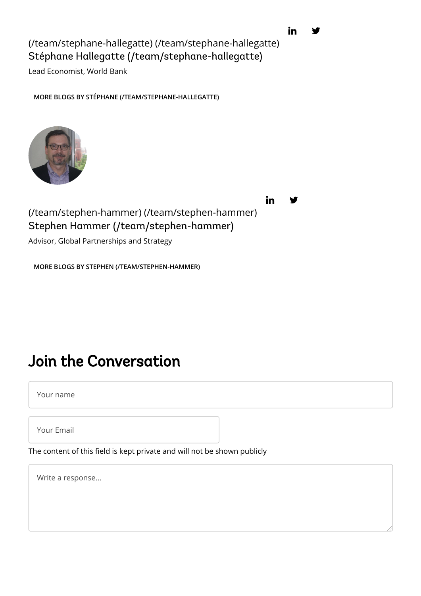Stéphane Hallegatte (/team/stephane-hallegatte) [\(/team/stephane-hallegatte\)](https://blogs.worldbank.org/team/stephane-hallegatte) [\(/team/stephane-hallegatte\)](https://blogs.worldbank.org/team/stephane-hallegatte)

Lead Economist, World Bank

**[MORE BLOGS BY STÉPHANE \(/TEAM/STEPHANE-HALLEGATTE\)](https://blogs.worldbank.org/team/stephane-hallegatte)**



in

Stephen Hammer (/team/stephen-hammer) [\(/team/stephen-hammer\)](https://blogs.worldbank.org/team/stephen-hammer) (/team/stephen-hammer)

Advisor, Global Partnerships and Strategy

**[MORE BLOGS BY STEPHEN \(/TEAM/STEPHEN-HAMMER\)](https://blogs.worldbank.org/team/stephen-hammer)**

## <span id="page-6-0"></span>Join the Conversation

Your name

Your Email

The content of this field is kept private and will not be shown publicly

Write a response...